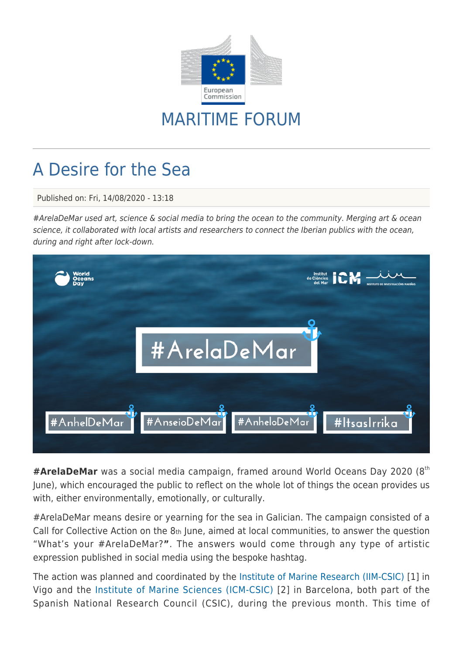

## MARITIME FORUM

## A Desire for the Sea

Published on: Fri, 14/08/2020 - 13:18

#ArelaDeMar used art, science & social media to bring the ocean to the community. Merging art & ocean science, it collaborated with local artists and researchers to connect the Iberian publics with the ocean, during and right after lock-down.



#**ArelaDeMar** was a social media campaign, framed around World Oceans Day 2020 (8<sup>th</sup> June), which encouraged the public to reflect on the whole lot of things the ocean provides us with, either environmentally, emotionally, or culturally.

#ArelaDeMar means desire or yearning for the sea in Galician. The campaign consisted of a Call for Collective Action on the 8th June, aimed at local communities, to answer the question "What's your #ArelaDeMar?**"**. The answers would come through any type of artistic expression published in social media using the bespoke hashtag.

The action was planned and coordinated by th[e Institute of Marine Research \(IIM-CSIC\)](http://iim.csic.es) [1] in Vigo and the [Institute of Marine Sciences \(ICM-CSIC\)](https://www.icm.csic.es) [2] in Barcelona, both part of the Spanish National Research Council (CSIC), during the previous month. This time of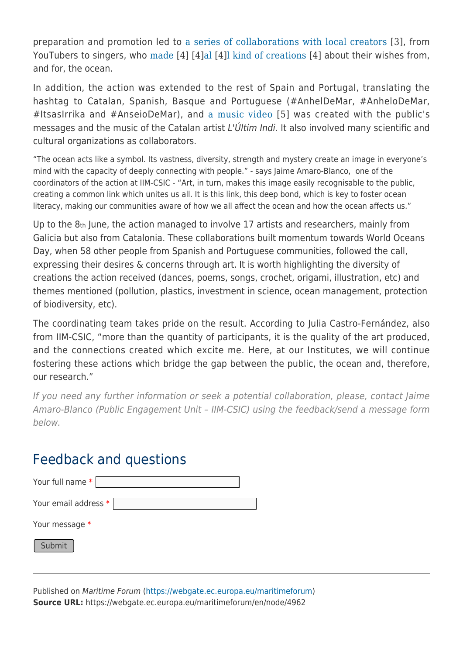preparation and promotion led to [a series of collaborations with local creators](http://www.iim.csic.es/index.php/actividades/arela-de-mar/arela-de-mar-galeria/?lang=gl) [3], from YouTubers to singers, who [made](http://www.iim.csic.es/index.php/actividades/arela-de-mar/arela-de-mar-galeria/) [\[](http://www.iim.csic.es/index.php/actividades/arela-de-mar/arela-de-mar-galeria/)4] [4[\]al](http://www.iim.csic.es/index.php/actividades/arela-de-mar/arela-de-mar-galeria/) [4][l kind of creations](http://www.iim.csic.es/index.php/actividades/arela-de-mar/arela-de-mar-galeria/) [4] about their wishes from, and for, the ocean.

In addition, the action was extended to the rest of Spain and Portugal, translating the hashtag to Catalan, Spanish, Basque and Portuguese (#AnhelDeMar, #AnheloDeMar, #ItsasIrrika and #AnseioDeMar), and [a music video](https://www.youtube.com/watch?v=lmt16fFHdd8&feature=emb_logo) [5] was created with the public's messages and the music of the Catalan artist L'Últim Indi. It also involved many scientific and cultural organizations as collaborators.

"The ocean acts like a symbol. Its vastness, diversity, strength and mystery create an image in everyone's mind with the capacity of deeply connecting with people." - says Jaime Amaro-Blanco, one of the coordinators of the action at IIM-CSIC - "Art, in turn, makes this image easily recognisable to the public, creating a common link which unites us all. It is this link, this deep bond, which is key to foster ocean literacy, making our communities aware of how we all affect the ocean and how the ocean affects us."

Up to the 8th June, the action managed to involve 17 artists and researchers, mainly from Galicia but also from Catalonia. These collaborations built momentum towards World Oceans Day, when 58 other people from Spanish and Portuguese communities, followed the call, expressing their desires & concerns through art. It is worth highlighting the diversity of creations the action received (dances, poems, songs, crochet, origami, illustration, etc) and themes mentioned (pollution, plastics, investment in science, ocean management, protection of biodiversity, etc).

The coordinating team takes pride on the result. According to Julia Castro-Fernández, also from IIM-CSIC, "more than the quantity of participants, it is the quality of the art produced, and the connections created which excite me. Here, at our Institutes, we will continue fostering these actions which bridge the gap between the public, the ocean and, therefore, our research."

If you need any further information or seek a potential collaboration, please, contact Jaime Amaro-Blanco (Public Engagement Unit – IIM-CSIC) using the feedback/send a message form below.

## Feedback and questions

| Your full name $*$   |  |
|----------------------|--|
| Your email address * |  |
| Your message *       |  |
| Submit               |  |

Published on Maritime Forum ([https://webgate.ec.europa.eu/maritimeforum\)](https://webgate.ec.europa.eu/maritimeforum) **Source URL:** https://webgate.ec.europa.eu/maritimeforum/en/node/4962